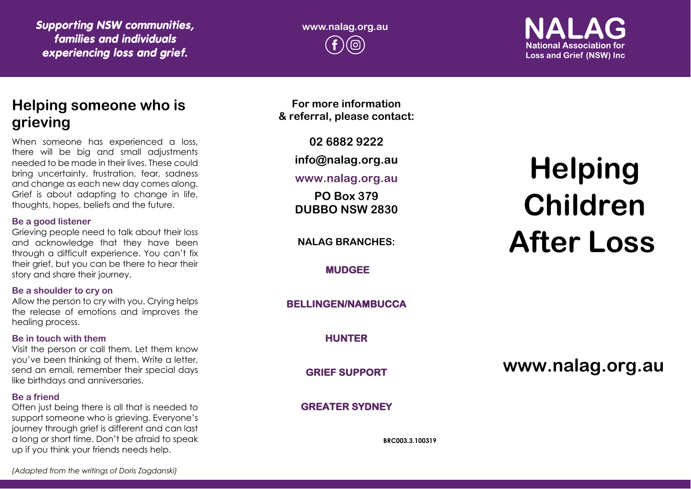*Supporting NSW communities, families and individuals experiencing loss and grief.*

**www.nalag.org.au**

**National Association for Loss and Grief (NSW) Inc.** 

## **Helping someone who is grieving**

When someone has experienced a loss, there will be big and small adjustments needed to be made in their lives. These could bring uncertainty, frustration, fear, sadness and change as each new day comes along. Grief is about adapting to change in life, thoughts, hopes, beliefs and the future.

#### **Be a good listener**

Grieving people need to talk about their loss and acknowledge that they have been through a difficult experience. You can't fix their grief, but you can be there to hear their story and share their journey.

#### **Be a shoulder to cry on**

Allow the person to cry with you. Crying helps the release of emotions and improves the healing process.

#### **Be in touch with them**

Visit the person or call them. Let them know you've been thinking of them. Write a letter, send an email, remember their special days like birthdays and anniversaries.

#### **Be a friend**

Often just being there is all that is needed to support someone who is grieving. Everyone's journey through grief is different and can last a long or short time. Don't be afraid to speak up if you think your friends needs help.

**For more information & referral, please contact:**

**02 6882 9222**

**info@nalag.org.au**

#### **www.nalag.org.au**

**PO Box 379 DUBBO NSW 2830**

**NALAG BRANCHES:**

**MUDGEE** 

**BELLINGEN/NAMBUCCA** 

**HUNTER** 

**GRIEF SUPPORT** 

#### **GREATER SYDNEY**

**BRC003.3.100319**

# **Helping Children After Loss**

**www.nalag.org.au**

*(Adapted from the writings of Doris Zagdanski)*